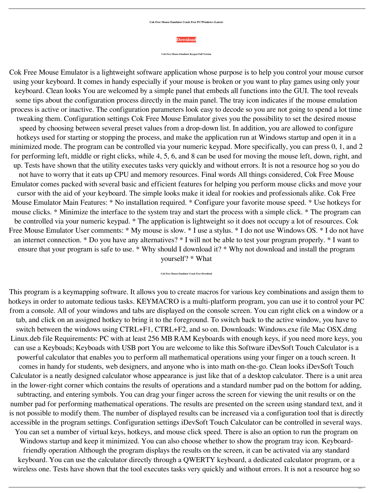## **Cok Free Mouse Emulator Crack Free PC/Windows (Latest)**



**Cok Free Mouse Emulator Keygen Full Version**

Cok Free Mouse Emulator is a lightweight software application whose purpose is to help you control your mouse cursor using your keyboard. It comes in handy especially if your mouse is broken or you want to play games using only your keyboard. Clean looks You are welcomed by a simple panel that embeds all functions into the GUI. The tool reveals some tips about the configuration process directly in the main panel. The tray icon indicates if the mouse emulation process is active or inactive. The configuration parameters look easy to decode so you are not going to spend a lot time tweaking them. Configuration settings Cok Free Mouse Emulator gives you the possibility to set the desired mouse speed by choosing between several preset values from a drop-down list. In addition, you are allowed to configure hotkeys used for starting or stopping the process, and make the application run at Windows startup and open it in a minimized mode. The program can be controlled via your numeric keypad. More specifically, you can press 0, 1, and 2 for performing left, middle or right clicks, while 4, 5, 6, and 8 can be used for moving the mouse left, down, right, and up. Tests have shown that the utility executes tasks very quickly and without errors. It is not a resource hog so you do not have to worry that it eats up CPU and memory resources. Final words All things considered, Cok Free Mouse Emulator comes packed with several basic and efficient features for helping you perform mouse clicks and move your cursor with the aid of your keyboard. The simple looks make it ideal for rookies and professionals alike. Cok Free Mouse Emulator Main Features: \* No installation required. \* Configure your favorite mouse speed. \* Use hotkeys for mouse clicks. \* Minimize the interface to the system tray and start the process with a simple click. \* The program can be controlled via your numeric keypad. \* The application is lightweight so it does not occupy a lot of resources. Cok Free Mouse Emulator User comments: \* My mouse is slow. \* I use a stylus. \* I do not use Windows OS. \* I do not have an internet connection. \* Do you have any alternatives? \* I will not be able to test your program properly. \* I want to ensure that your program is safe to use. \* Why should I download it? \* Why not download and install the program yourself? \* What

## **Cok Free Mouse Emulator Crack Free Download**

This program is a keymapping software. It allows you to create macros for various key combinations and assign them to hotkeys in order to automate tedious tasks. KEYMACRO is a multi-platform program, you can use it to control your PC from a console. All of your windows and tabs are displayed on the console screen. You can right click on a window or a tab, and click on an assigned hotkey to bring it to the foreground. To switch back to the active window, you have to switch between the windows using CTRL+F1, CTRL+F2, and so on. Downloads: Windows.exe file Mac OSX.dmg Linux.deb file Requirements: PC with at least 256 MB RAM Keyboards with enough keys, if you need more keys, you can use a Keyboads; Keyboads with USB port You are welcome to like this Software iDevSoft Touch Calculator is a powerful calculator that enables you to perform all mathematical operations using your finger on a touch screen. It comes in handy for students, web designers, and anyone who is into math on-the-go. Clean looks iDevSoft Touch Calculator is a neatly designed calculator whose appearance is just like that of a desktop calculator. There is a unit area in the lower-right corner which contains the results of operations and a standard number pad on the bottom for adding, subtracting, and entering symbols. You can drag your finger across the screen for viewing the unit results or on the number pad for performing mathematical operations. The results are presented on the screen using standard text, and it is not possible to modify them. The number of displayed results can be increased via a configuration tool that is directly accessible in the program settings. Configuration settings iDevSoft Touch Calculator can be controlled in several ways. You can set a number of virtual keys, hotkeys, and mouse click speed. There is also an option to run the program on Windows startup and keep it minimized. You can also choose whether to show the program tray icon. Keyboardfriendly operation Although the program displays the results on the screen, it can be activated via any standard keyboard. You can use the calculator directly through a QWERTY keyboard, a dedicated calculator program, or a wireless one. Tests have shown that the tool executes tasks very quickly and without errors. It is not a resource hog so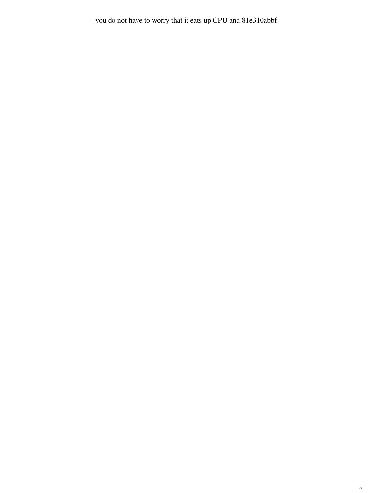you do not have to worry that it eats up CPU and 81e310abbf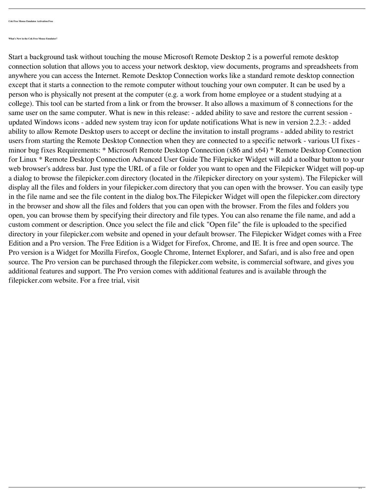**Cok Free Mouse Emulator Activation Free**

**What's New in the Cok Free Mouse Emulator?**

Start a background task without touching the mouse Microsoft Remote Desktop 2 is a powerful remote desktop connection solution that allows you to access your network desktop, view documents, programs and spreadsheets from anywhere you can access the Internet. Remote Desktop Connection works like a standard remote desktop connection except that it starts a connection to the remote computer without touching your own computer. It can be used by a person who is physically not present at the computer (e.g. a work from home employee or a student studying at a college). This tool can be started from a link or from the browser. It also allows a maximum of 8 connections for the same user on the same computer. What is new in this release: - added ability to save and restore the current session updated Windows icons - added new system tray icon for update notifications What is new in version 2.2.3: - added ability to allow Remote Desktop users to accept or decline the invitation to install programs - added ability to restrict users from starting the Remote Desktop Connection when they are connected to a specific network - various UI fixes minor bug fixes Requirements: \* Microsoft Remote Desktop Connection (x86 and x64) \* Remote Desktop Connection for Linux \* Remote Desktop Connection Advanced User Guide The Filepicker Widget will add a toolbar button to your web browser's address bar. Just type the URL of a file or folder you want to open and the Filepicker Widget will pop-up a dialog to browse the filepicker.com directory (located in the /filepicker directory on your system). The Filepicker will display all the files and folders in your filepicker.com directory that you can open with the browser. You can easily type in the file name and see the file content in the dialog box.The Filepicker Widget will open the filepicker.com directory in the browser and show all the files and folders that you can open with the browser. From the files and folders you open, you can browse them by specifying their directory and file types. You can also rename the file name, and add a custom comment or description. Once you select the file and click "Open file" the file is uploaded to the specified directory in your filepicker.com website and opened in your default browser. The Filepicker Widget comes with a Free Edition and a Pro version. The Free Edition is a Widget for Firefox, Chrome, and IE. It is free and open source. The Pro version is a Widget for Mozilla Firefox, Google Chrome, Internet Explorer, and Safari, and is also free and open source. The Pro version can be purchased through the filepicker.com website, is commercial software, and gives you additional features and support. The Pro version comes with additional features and is available through the filepicker.com website. For a free trial, visit